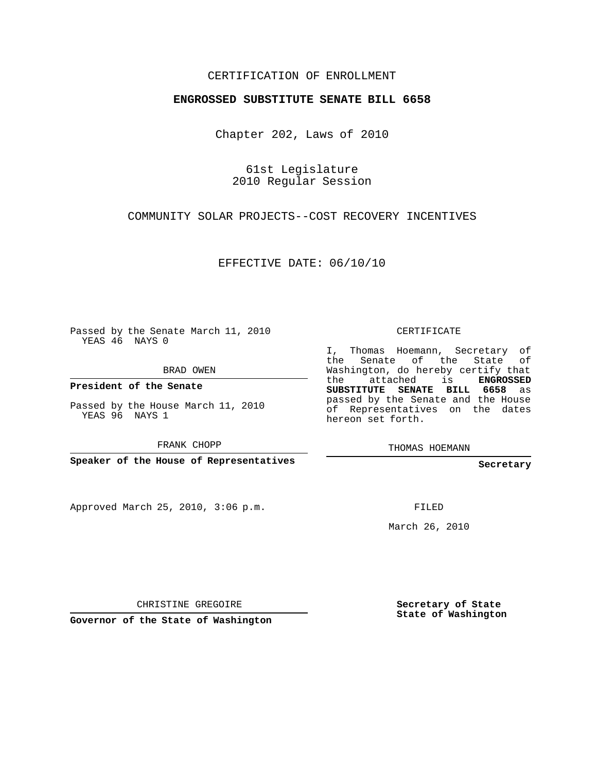## CERTIFICATION OF ENROLLMENT

## **ENGROSSED SUBSTITUTE SENATE BILL 6658**

Chapter 202, Laws of 2010

61st Legislature 2010 Regular Session

COMMUNITY SOLAR PROJECTS--COST RECOVERY INCENTIVES

EFFECTIVE DATE: 06/10/10

Passed by the Senate March 11, 2010 YEAS 46 NAYS 0

BRAD OWEN

**President of the Senate**

Passed by the House March 11, 2010 YEAS 96 NAYS 1

FRANK CHOPP

**Speaker of the House of Representatives**

Approved March 25, 2010, 3:06 p.m.

CERTIFICATE

I, Thomas Hoemann, Secretary of the Senate of the State of Washington, do hereby certify that the attached is **ENGROSSED SUBSTITUTE SENATE BILL 6658** as passed by the Senate and the House of Representatives on the dates hereon set forth.

THOMAS HOEMANN

**Secretary**

FILED

March 26, 2010

CHRISTINE GREGOIRE

**Governor of the State of Washington**

**Secretary of State State of Washington**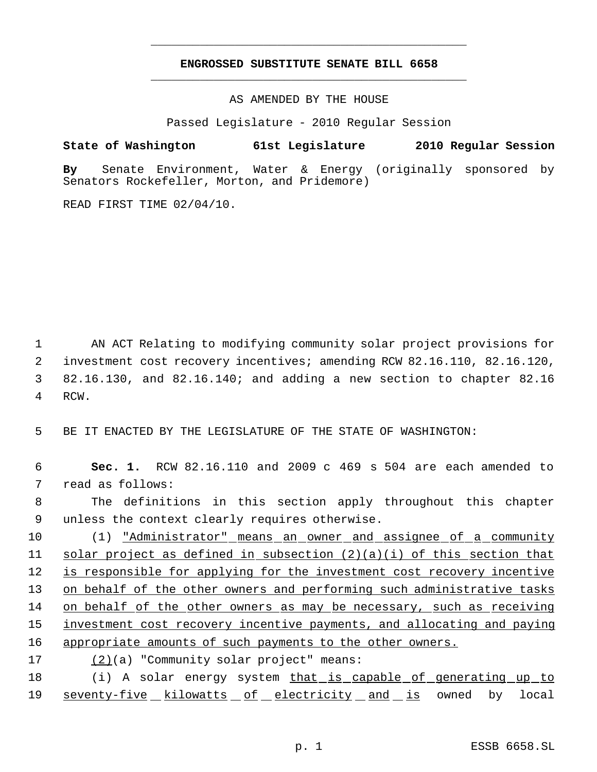## **ENGROSSED SUBSTITUTE SENATE BILL 6658** \_\_\_\_\_\_\_\_\_\_\_\_\_\_\_\_\_\_\_\_\_\_\_\_\_\_\_\_\_\_\_\_\_\_\_\_\_\_\_\_\_\_\_\_\_

\_\_\_\_\_\_\_\_\_\_\_\_\_\_\_\_\_\_\_\_\_\_\_\_\_\_\_\_\_\_\_\_\_\_\_\_\_\_\_\_\_\_\_\_\_

AS AMENDED BY THE HOUSE

Passed Legislature - 2010 Regular Session

**State of Washington 61st Legislature 2010 Regular Session**

**By** Senate Environment, Water & Energy (originally sponsored by Senators Rockefeller, Morton, and Pridemore)

READ FIRST TIME 02/04/10.

 AN ACT Relating to modifying community solar project provisions for investment cost recovery incentives; amending RCW 82.16.110, 82.16.120, 82.16.130, and 82.16.140; and adding a new section to chapter 82.16 4 RCW.

5 BE IT ENACTED BY THE LEGISLATURE OF THE STATE OF WASHINGTON:

 6 **Sec. 1.** RCW 82.16.110 and 2009 c 469 s 504 are each amended to 7 read as follows:

 8 The definitions in this section apply throughout this chapter 9 unless the context clearly requires otherwise.

10 (1) <u>"Administrator" means an owner and assignee of a community</u> 11 solar project as defined in subsection (2)(a)(i) of this section that 12 is responsible for applying for the investment cost recovery incentive 13 on behalf of the other owners and performing such administrative tasks 14 on behalf of the other owners as may be necessary, such as receiving 15 investment cost recovery incentive payments, and allocating and paying 16 appropriate amounts of such payments to the other owners.

17 (2)(a) "Community solar project" means:

18 (i) A solar energy system that is capable of generating up to 19 <u>seventy-five kilowatts of electricity and is</u> owned by local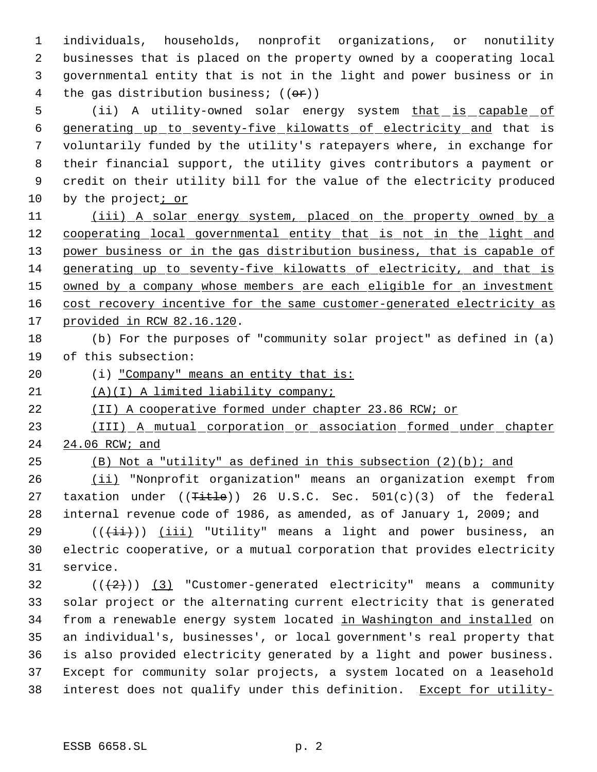individuals, households, nonprofit organizations, or nonutility businesses that is placed on the property owned by a cooperating local governmental entity that is not in the light and power business or in 4 the gas distribution business;  $((\theta \cdot \mathbf{r}))$ 

5 (ii) A utility-owned solar energy system that is capable of generating up to seventy-five kilowatts of electricity and that is voluntarily funded by the utility's ratepayers where, in exchange for their financial support, the utility gives contributors a payment or credit on their utility bill for the value of the electricity produced 10 by the project; or

11 (iii) A solar energy system, placed on the property owned by a 12 cooperating local governmental entity that is not in the light and 13 power business or in the gas distribution business, that is capable of 14 generating up to seventy-five kilowatts of electricity, and that is 15 owned by a company whose members are each eligible for an investment 16 cost recovery incentive for the same customer-generated electricity as 17 provided in RCW 82.16.120.

18 (b) For the purposes of "community solar project" as defined in (a) 19 of this subsection:

20 (i) "Company" means an entity that is:

21 (A)(I) A limited liability company;

22 (II) A cooperative formed under chapter 23.86 RCW; or

23 (III) A mutual corporation or association formed under chapter 24 24.06 RCW; and

25 (B) Not a "utility" as defined in this subsection  $(2)(b)$ ; and

26 (ii) "Nonprofit organization" means an organization exempt from 27 taxation under  $((T~~itle~~))$  26 U.S.C. Sec.  $501(c)(3)$  of the federal 28 internal revenue code of 1986, as amended, as of January 1, 2009; and

29  $((\overrightarrow{\pm}i))$   $(iii)$  "Utility" means a light and power business, an 30 electric cooperative, or a mutual corporation that provides electricity 31 service.

 $((+2))$   $(3)$  "Customer-generated electricity" means a community solar project or the alternating current electricity that is generated 34 from a renewable energy system located in Washington and installed on an individual's, businesses', or local government's real property that is also provided electricity generated by a light and power business. Except for community solar projects, a system located on a leasehold 38 interest does not qualify under this definition. Except for utility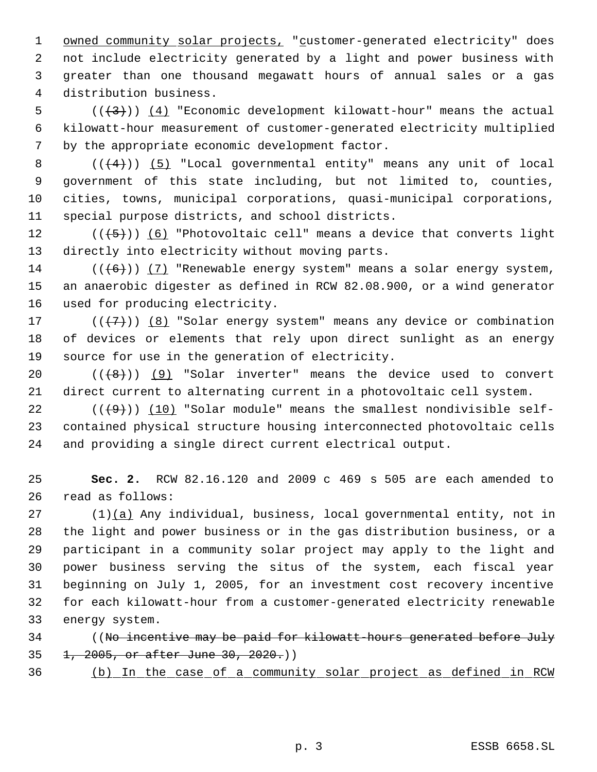1 owned community solar projects, "customer-generated electricity" does not include electricity generated by a light and power business with greater than one thousand megawatt hours of annual sales or a gas distribution business.

5  $((+3))$   $(4)$  "Economic development kilowatt-hour" means the actual kilowatt-hour measurement of customer-generated electricity multiplied by the appropriate economic development factor.

 $((+4))$   $(5)$  "Local governmental entity" means any unit of local government of this state including, but not limited to, counties, cities, towns, municipal corporations, quasi-municipal corporations, special purpose districts, and school districts.

12  $((\langle 5 \rangle)(6)$  "Photovoltaic cell" means a device that converts light directly into electricity without moving parts.

14  $((\langle 6 \rangle) )$  (7) "Renewable energy system" means a solar energy system, an anaerobic digester as defined in RCW 82.08.900, or a wind generator used for producing electricity.

17  $((+7))$   $(8)$  "Solar energy system" means any device or combination of devices or elements that rely upon direct sunlight as an energy source for use in the generation of electricity.

20  $((+8))$   $(9)$  "Solar inverter" means the device used to convert direct current to alternating current in a photovoltaic cell system.

22  $((+9))$  (10) "Solar module" means the smallest nondivisible self- contained physical structure housing interconnected photovoltaic cells and providing a single direct current electrical output.

 **Sec. 2.** RCW 82.16.120 and 2009 c 469 s 505 are each amended to read as follows:

 (1)(a) Any individual, business, local governmental entity, not in the light and power business or in the gas distribution business, or a participant in a community solar project may apply to the light and power business serving the situs of the system, each fiscal year beginning on July 1, 2005, for an investment cost recovery incentive for each kilowatt-hour from a customer-generated electricity renewable energy system.

 ((No incentive may be paid for kilowatt-hours generated before July 1, 2005, or after June 30, 2020.))

(b) In the case of a community solar project as defined in RCW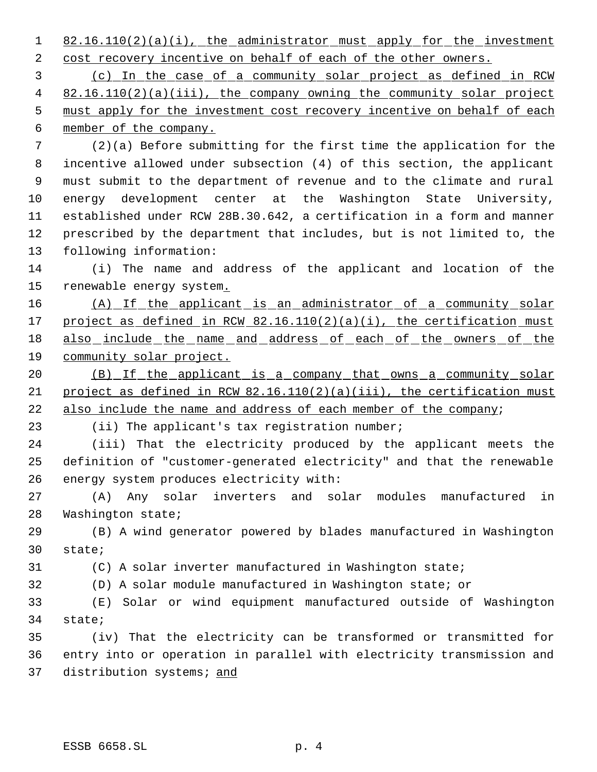1 82.16.110(2)(a)(i), the administrator must apply for the investment 2 cost recovery incentive on behalf of each of the other owners.

 (c) In the case of a community solar project as defined in RCW 4 82.16.110(2)(a)(iii), the company owning the community solar project must apply for the investment cost recovery incentive on behalf of each member of the company.

 (2)(a) Before submitting for the first time the application for the incentive allowed under subsection (4) of this section, the applicant must submit to the department of revenue and to the climate and rural energy development center at the Washington State University, established under RCW 28B.30.642, a certification in a form and manner prescribed by the department that includes, but is not limited to, the following information:

 (i) The name and address of the applicant and location of the 15 renewable energy system.

16 (A) If the applicant is an administrator of a community solar 17 project as defined in RCW 82.16.110(2)(a)(i), the certification must 18 also include the name and address of each of the owners of the community solar project.

20 (B) If the applicant is a company that owns a community solar project as defined in RCW 82.16.110(2)(a)(iii), the certification must 22 also include the name and address of each member of the company;

(ii) The applicant's tax registration number;

 (iii) That the electricity produced by the applicant meets the definition of "customer-generated electricity" and that the renewable energy system produces electricity with:

 (A) Any solar inverters and solar modules manufactured in Washington state;

 (B) A wind generator powered by blades manufactured in Washington state;

(C) A solar inverter manufactured in Washington state;

(D) A solar module manufactured in Washington state; or

 (E) Solar or wind equipment manufactured outside of Washington state;

 (iv) That the electricity can be transformed or transmitted for entry into or operation in parallel with electricity transmission and 37 distribution systems; and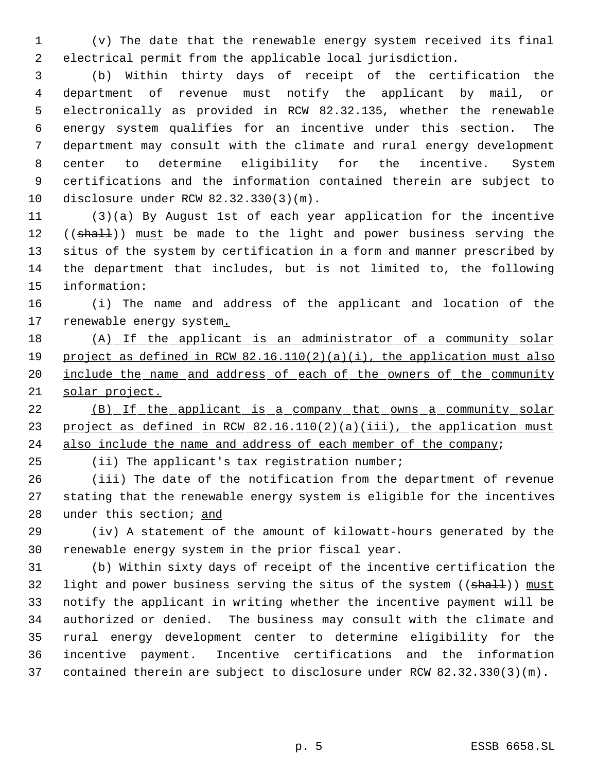(v) The date that the renewable energy system received its final electrical permit from the applicable local jurisdiction.

 (b) Within thirty days of receipt of the certification the department of revenue must notify the applicant by mail, or electronically as provided in RCW 82.32.135, whether the renewable energy system qualifies for an incentive under this section. The department may consult with the climate and rural energy development center to determine eligibility for the incentive. System certifications and the information contained therein are subject to disclosure under RCW 82.32.330(3)(m).

 (3)(a) By August 1st of each year application for the incentive 12 ((shall)) must be made to the light and power business serving the situs of the system by certification in a form and manner prescribed by the department that includes, but is not limited to, the following information:

 (i) The name and address of the applicant and location of the 17 renewable energy system.

18 (A) If the applicant is an administrator of a community solar project as defined in RCW 82.16.110(2)(a)(i), the application must also 20 include the name and address of each of the owners of the community solar project.

 (B) If the applicant is a company that owns a community solar 23 project as defined in RCW 82.16.110(2)(a)(iii), the application must 24 also include the name and address of each member of the company;

(ii) The applicant's tax registration number;

 (iii) The date of the notification from the department of revenue stating that the renewable energy system is eligible for the incentives 28 under this section; and

 (iv) A statement of the amount of kilowatt-hours generated by the renewable energy system in the prior fiscal year.

 (b) Within sixty days of receipt of the incentive certification the 32 light and power business serving the situs of the system ((shall)) must notify the applicant in writing whether the incentive payment will be authorized or denied. The business may consult with the climate and rural energy development center to determine eligibility for the incentive payment. Incentive certifications and the information contained therein are subject to disclosure under RCW 82.32.330(3)(m).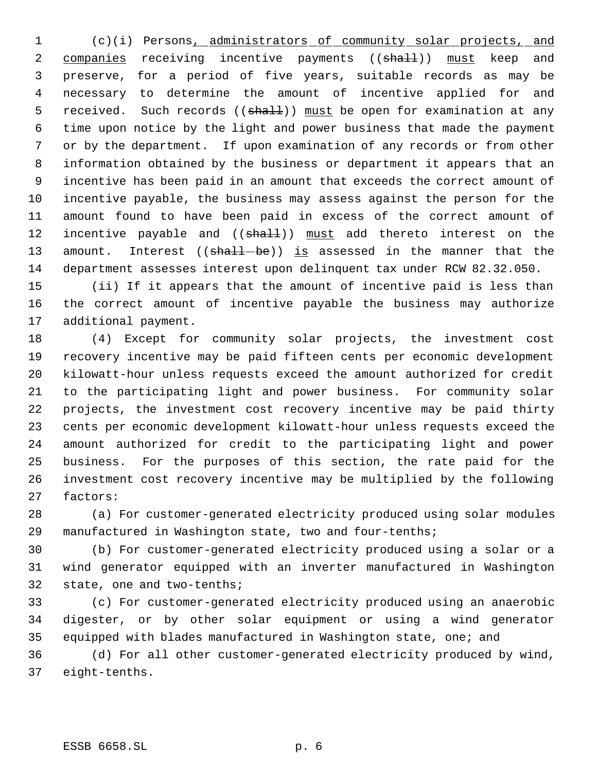(c)(i) Persons, administrators of community solar projects, and 2 companies receiving incentive payments ((shall)) must keep and preserve, for a period of five years, suitable records as may be necessary to determine the amount of incentive applied for and 5 received. Such records (( $\frac{1}{n+1}$ )) must be open for examination at any time upon notice by the light and power business that made the payment or by the department. If upon examination of any records or from other information obtained by the business or department it appears that an incentive has been paid in an amount that exceeds the correct amount of incentive payable, the business may assess against the person for the amount found to have been paid in excess of the correct amount of 12 incentive payable and ((shall)) must add thereto interest on the 13 amount. Interest  $((\text{shall} - \text{be}))$  is assessed in the manner that the department assesses interest upon delinquent tax under RCW 82.32.050.

 (ii) If it appears that the amount of incentive paid is less than the correct amount of incentive payable the business may authorize additional payment.

 (4) Except for community solar projects, the investment cost recovery incentive may be paid fifteen cents per economic development kilowatt-hour unless requests exceed the amount authorized for credit to the participating light and power business. For community solar projects, the investment cost recovery incentive may be paid thirty cents per economic development kilowatt-hour unless requests exceed the amount authorized for credit to the participating light and power business. For the purposes of this section, the rate paid for the investment cost recovery incentive may be multiplied by the following factors:

 (a) For customer-generated electricity produced using solar modules manufactured in Washington state, two and four-tenths;

 (b) For customer-generated electricity produced using a solar or a wind generator equipped with an inverter manufactured in Washington state, one and two-tenths;

 (c) For customer-generated electricity produced using an anaerobic digester, or by other solar equipment or using a wind generator equipped with blades manufactured in Washington state, one; and

 (d) For all other customer-generated electricity produced by wind, eight-tenths.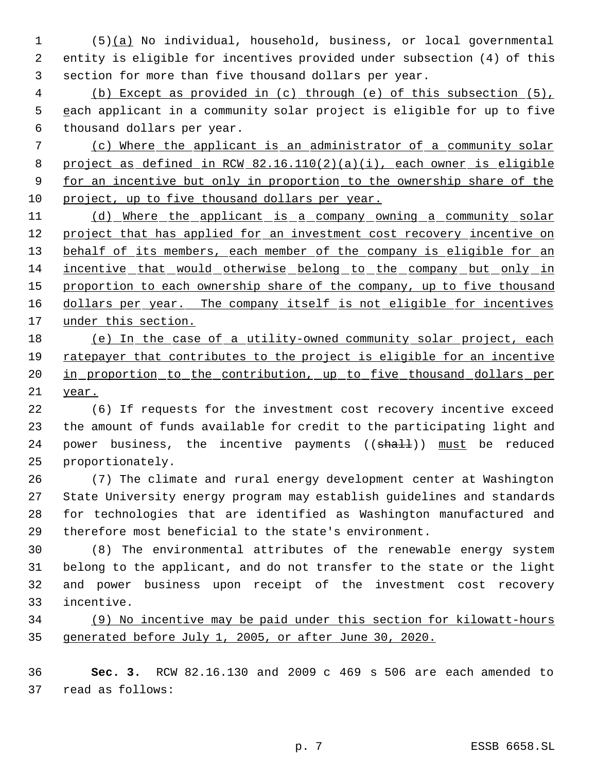(5)(a) No individual, household, business, or local governmental entity is eligible for incentives provided under subsection (4) of this section for more than five thousand dollars per year.

 (b) Except as provided in (c) through (e) of this subsection (5), each applicant in a community solar project is eligible for up to five thousand dollars per year.

 (c) Where the applicant is an administrator of a community solar project as defined in RCW 82.16.110(2)(a)(i), each owner is eligible 9 for an incentive but only in proportion to the ownership share of the project, up to five thousand dollars per year.

 (d) Where the applicant is a company owning a community solar 12 project that has applied for an investment cost recovery incentive on 13 behalf of its members, each member of the company is eligible for an incentive that would otherwise belong to the company but only in 15 proportion to each ownership share of the company, up to five thousand 16 dollars per year. The company itself is not eligible for incentives under this section.

 (e) In the case of a utility-owned community solar project, each 19 ratepayer that contributes to the project is eligible for an incentive 20 in proportion to the contribution, up to five thousand dollars per year.

 (6) If requests for the investment cost recovery incentive exceed the amount of funds available for credit to the participating light and 24 power business, the incentive payments ((shall)) must be reduced proportionately.

 (7) The climate and rural energy development center at Washington State University energy program may establish guidelines and standards for technologies that are identified as Washington manufactured and therefore most beneficial to the state's environment.

 (8) The environmental attributes of the renewable energy system belong to the applicant, and do not transfer to the state or the light and power business upon receipt of the investment cost recovery incentive.

 (9) No incentive may be paid under this section for kilowatt-hours generated before July 1, 2005, or after June 30, 2020.

 **Sec. 3.** RCW 82.16.130 and 2009 c 469 s 506 are each amended to read as follows: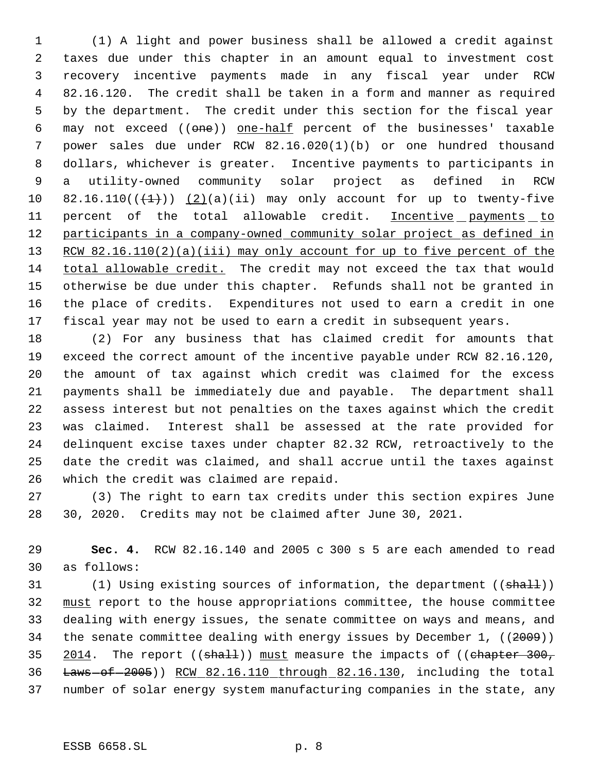(1) A light and power business shall be allowed a credit against taxes due under this chapter in an amount equal to investment cost recovery incentive payments made in any fiscal year under RCW 82.16.120. The credit shall be taken in a form and manner as required by the department. The credit under this section for the fiscal year 6 may not exceed ((one)) one-half percent of the businesses' taxable power sales due under RCW 82.16.020(1)(b) or one hundred thousand dollars, whichever is greater. Incentive payments to participants in a utility-owned community solar project as defined in RCW 10 82.16.110( $(\frac{1}{(1)})$ )  $(2)(a)(ii)$  may only account for up to twenty-five 11 percent of the total allowable credit. Incentive payments to 12 participants in a company-owned community solar project as defined in 13 RCW 82.16.110(2)(a)(iii) may only account for up to five percent of the total allowable credit. The credit may not exceed the tax that would otherwise be due under this chapter. Refunds shall not be granted in the place of credits. Expenditures not used to earn a credit in one fiscal year may not be used to earn a credit in subsequent years.

 (2) For any business that has claimed credit for amounts that exceed the correct amount of the incentive payable under RCW 82.16.120, the amount of tax against which credit was claimed for the excess payments shall be immediately due and payable. The department shall assess interest but not penalties on the taxes against which the credit was claimed. Interest shall be assessed at the rate provided for delinquent excise taxes under chapter 82.32 RCW, retroactively to the date the credit was claimed, and shall accrue until the taxes against which the credit was claimed are repaid.

 (3) The right to earn tax credits under this section expires June 30, 2020. Credits may not be claimed after June 30, 2021.

 **Sec. 4.** RCW 82.16.140 and 2005 c 300 s 5 are each amended to read as follows:

31 (1) Using existing sources of information, the department ((shall)) must report to the house appropriations committee, the house committee dealing with energy issues, the senate committee on ways and means, and 34 the senate committee dealing with energy issues by December 1, ((2009)) 35 2014. The report ((shall)) must measure the impacts of ((chapter 300, 36 Laws - of - 2005)) RCW 82.16.110 through 82.16.130, including the total number of solar energy system manufacturing companies in the state, any